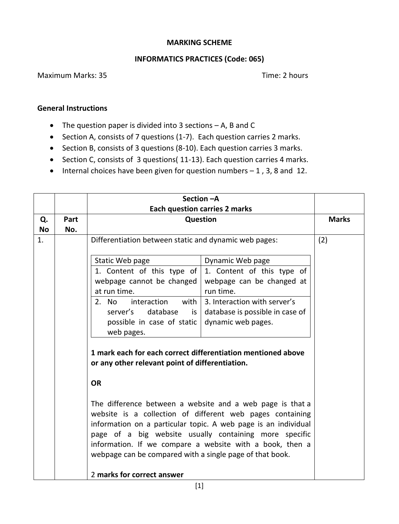## **MARKING SCHEME**

## **INFORMATICS PRACTICES (Code: 065)**

## Maximum Marks: 35 Time: 2 hours

## **General Instructions**

- The question paper is divided into 3 sections A, B and C
- Section A, consists of 7 questions (1-7). Each question carries 2 marks.
- Section B, consists of 3 questions (8-10). Each question carries 3 marks.
- Section C, consists of 3 questions( 11-13). Each question carries 4 marks.
- $\bullet$  Internal choices have been given for question numbers  $-1$ , 3, 8 and 12.

| Q.<br>Part       | Question                                                                                                                                                                                                                                                                                                                                                                                                 | <b>Each question carries 2 marks</b> |              |  |
|------------------|----------------------------------------------------------------------------------------------------------------------------------------------------------------------------------------------------------------------------------------------------------------------------------------------------------------------------------------------------------------------------------------------------------|--------------------------------------|--------------|--|
|                  |                                                                                                                                                                                                                                                                                                                                                                                                          |                                      |              |  |
|                  |                                                                                                                                                                                                                                                                                                                                                                                                          |                                      | <b>Marks</b> |  |
| <b>No</b><br>No. |                                                                                                                                                                                                                                                                                                                                                                                                          |                                      |              |  |
| 1.               | Differentiation between static and dynamic web pages:                                                                                                                                                                                                                                                                                                                                                    | (2)                                  |              |  |
|                  | Static Web page                                                                                                                                                                                                                                                                                                                                                                                          | Dynamic Web page                     |              |  |
|                  | 1. Content of this type of                                                                                                                                                                                                                                                                                                                                                                               | 1. Content of this type of           |              |  |
|                  | webpage cannot be changed                                                                                                                                                                                                                                                                                                                                                                                | webpage can be changed at            |              |  |
|                  | at run time.                                                                                                                                                                                                                                                                                                                                                                                             | run time.                            |              |  |
|                  | with<br>2.<br>interaction<br>No.                                                                                                                                                                                                                                                                                                                                                                         | 3. Interaction with server's         |              |  |
|                  | database<br>server's<br>is                                                                                                                                                                                                                                                                                                                                                                               | database is possible in case of      |              |  |
|                  | possible in case of static                                                                                                                                                                                                                                                                                                                                                                               | dynamic web pages.                   |              |  |
|                  | web pages.                                                                                                                                                                                                                                                                                                                                                                                               |                                      |              |  |
|                  | 1 mark each for each correct differentiation mentioned above<br>or any other relevant point of differentiation.                                                                                                                                                                                                                                                                                          |                                      |              |  |
|                  | <b>OR</b>                                                                                                                                                                                                                                                                                                                                                                                                |                                      |              |  |
|                  | The difference between a website and a web page is that a<br>website is a collection of different web pages containing<br>information on a particular topic. A web page is an individual<br>page of a big website usually containing more specific<br>information. If we compare a website with a book, then a<br>webpage can be compared with a single page of that book.<br>2 marks for correct answer |                                      |              |  |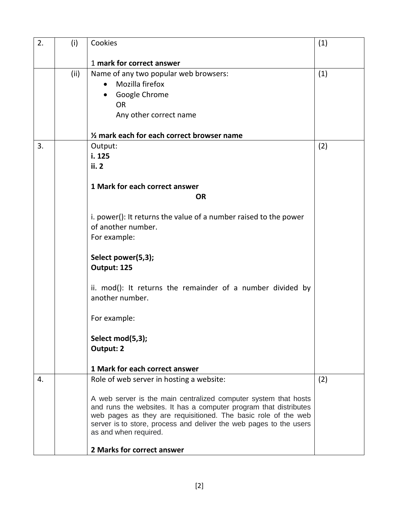| 2. | (i)  | Cookies                                                                                                                              | (1) |
|----|------|--------------------------------------------------------------------------------------------------------------------------------------|-----|
|    |      | 1 mark for correct answer                                                                                                            |     |
|    | (ii) | Name of any two popular web browsers:                                                                                                | (1) |
|    |      | Mozilla firefox<br>$\bullet$                                                                                                         |     |
|    |      | Google Chrome                                                                                                                        |     |
|    |      | <b>OR</b>                                                                                                                            |     |
|    |      | Any other correct name                                                                                                               |     |
|    |      | 1/2 mark each for each correct browser name                                                                                          |     |
| 3. |      | Output:                                                                                                                              | (2) |
|    |      | i. 125                                                                                                                               |     |
|    |      | ii. 2                                                                                                                                |     |
|    |      | 1 Mark for each correct answer                                                                                                       |     |
|    |      | <b>OR</b>                                                                                                                            |     |
|    |      |                                                                                                                                      |     |
|    |      | i. power(): It returns the value of a number raised to the power                                                                     |     |
|    |      | of another number.                                                                                                                   |     |
|    |      | For example:                                                                                                                         |     |
|    |      | Select power(5,3);                                                                                                                   |     |
|    |      | Output: 125                                                                                                                          |     |
|    |      |                                                                                                                                      |     |
|    |      | ii. mod(): It returns the remainder of a number divided by<br>another number.                                                        |     |
|    |      |                                                                                                                                      |     |
|    |      | For example:                                                                                                                         |     |
|    |      |                                                                                                                                      |     |
|    |      | Select mod(5,3);                                                                                                                     |     |
|    |      | Output: 2                                                                                                                            |     |
|    |      | 1 Mark for each correct answer                                                                                                       |     |
| 4. |      | Role of web server in hosting a website:                                                                                             | (2) |
|    |      |                                                                                                                                      |     |
|    |      | A web server is the main centralized computer system that hosts<br>and runs the websites. It has a computer program that distributes |     |
|    |      | web pages as they are requisitioned. The basic role of the web                                                                       |     |
|    |      | server is to store, process and deliver the web pages to the users                                                                   |     |
|    |      | as and when required.                                                                                                                |     |
|    |      | 2 Marks for correct answer                                                                                                           |     |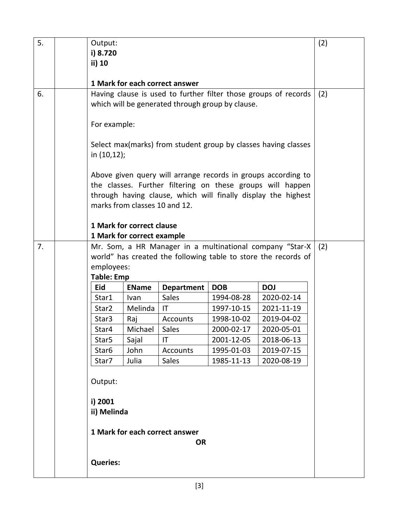| 5. |                                                                | Output:                                                         |                               |                    |                          | (2)                                                            |     |
|----|----------------------------------------------------------------|-----------------------------------------------------------------|-------------------------------|--------------------|--------------------------|----------------------------------------------------------------|-----|
|    |                                                                | i) 8.720                                                        |                               |                    |                          |                                                                |     |
|    |                                                                | ii) 10                                                          |                               |                    |                          |                                                                |     |
|    |                                                                | 1 Mark for each correct answer                                  |                               |                    |                          |                                                                |     |
| 6. |                                                                | Having clause is used to further filter those groups of records |                               |                    |                          | (2)                                                            |     |
|    | which will be generated through group by clause.               |                                                                 |                               |                    |                          |                                                                |     |
|    |                                                                |                                                                 |                               |                    |                          |                                                                |     |
|    |                                                                | For example:                                                    |                               |                    |                          |                                                                |     |
|    | Select max(marks) from student group by classes having classes |                                                                 |                               |                    |                          |                                                                |     |
|    |                                                                | in (10,12);                                                     |                               |                    |                          |                                                                |     |
|    |                                                                |                                                                 |                               |                    |                          |                                                                |     |
|    |                                                                |                                                                 |                               |                    |                          | Above given query will arrange records in groups according to  |     |
|    |                                                                |                                                                 |                               |                    |                          | the classes. Further filtering on these groups will happen     |     |
|    |                                                                |                                                                 | marks from classes 10 and 12. |                    |                          | through having clause, which will finally display the highest  |     |
|    |                                                                |                                                                 |                               |                    |                          |                                                                |     |
|    |                                                                |                                                                 | 1 Mark for correct clause     |                    |                          |                                                                |     |
|    |                                                                |                                                                 | 1 Mark for correct example    |                    |                          |                                                                |     |
| 7. |                                                                |                                                                 |                               |                    |                          | Mr. Som, a HR Manager in a multinational company "Star-X       | (2) |
|    |                                                                |                                                                 |                               |                    |                          | world" has created the following table to store the records of |     |
|    |                                                                | employees:                                                      |                               |                    |                          |                                                                |     |
|    | <b>Table: Emp</b>                                              |                                                                 |                               |                    |                          |                                                                |     |
|    |                                                                | <b>Eid</b>                                                      | <b>EName</b>                  | <b>Department</b>  | <b>DOB</b>               | <b>DOJ</b>                                                     |     |
|    |                                                                | Star1<br>Star2                                                  | Ivan<br>Melinda               | <b>Sales</b><br>IT | 1994-08-28<br>1997-10-15 | 2020-02-14<br>2021-11-19                                       |     |
|    |                                                                | Star3                                                           | Raj                           | Accounts           | 1998-10-02               | 2019-04-02                                                     |     |
|    |                                                                | Star4                                                           | Michael                       | Sales              | 2000-02-17               | 2020-05-01                                                     |     |
|    |                                                                | Star <sub>5</sub>                                               | Sajal                         | IT                 | 2001-12-05               | 2018-06-13                                                     |     |
|    |                                                                | Star6                                                           | John                          | Accounts           | 1995-01-03               | 2019-07-15                                                     |     |
|    |                                                                | Star7                                                           | Julia                         | Sales              | 1985-11-13               | 2020-08-19                                                     |     |
|    |                                                                |                                                                 |                               |                    |                          |                                                                |     |
|    |                                                                | Output:                                                         |                               |                    |                          |                                                                |     |
|    |                                                                | i) 2001                                                         |                               |                    |                          |                                                                |     |
|    |                                                                | ii) Melinda                                                     |                               |                    |                          |                                                                |     |
|    |                                                                | 1 Mark for each correct answer                                  |                               |                    |                          |                                                                |     |
|    | <b>OR</b>                                                      |                                                                 |                               |                    |                          |                                                                |     |
|    |                                                                |                                                                 |                               |                    |                          |                                                                |     |
|    |                                                                | <b>Queries:</b>                                                 |                               |                    |                          |                                                                |     |
|    |                                                                |                                                                 |                               |                    |                          |                                                                |     |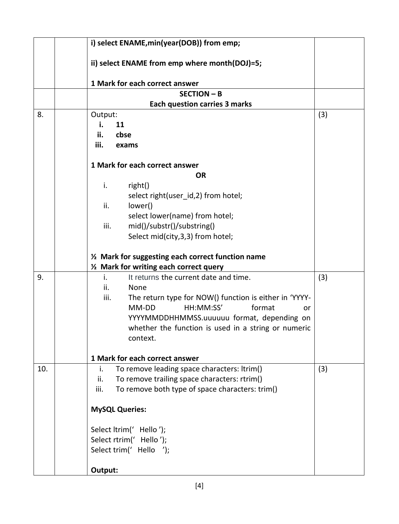|     |  | i) select ENAME, min(year(DOB)) from emp;                                              |     |  |  |  |
|-----|--|----------------------------------------------------------------------------------------|-----|--|--|--|
|     |  | ii) select ENAME from emp where month(DOJ)=5;                                          |     |  |  |  |
|     |  | 1 Mark for each correct answer                                                         |     |  |  |  |
|     |  |                                                                                        |     |  |  |  |
|     |  | <b>Each question carries 3 marks</b>                                                   |     |  |  |  |
| 8.  |  | Output:                                                                                | (3) |  |  |  |
|     |  | i.<br>11                                                                               |     |  |  |  |
|     |  | ii.<br>cbse                                                                            |     |  |  |  |
|     |  | iii.<br>exams                                                                          |     |  |  |  |
|     |  |                                                                                        |     |  |  |  |
|     |  | 1 Mark for each correct answer                                                         |     |  |  |  |
|     |  | <b>OR</b>                                                                              |     |  |  |  |
|     |  | i.<br>right()                                                                          |     |  |  |  |
|     |  | select right(user id,2) from hotel;                                                    |     |  |  |  |
|     |  | ii.<br>lower()                                                                         |     |  |  |  |
|     |  | select lower(name) from hotel;                                                         |     |  |  |  |
|     |  | iii.<br>mid()/substr()/substring()                                                     |     |  |  |  |
|     |  | Select mid(city, 3, 3) from hotel;                                                     |     |  |  |  |
|     |  |                                                                                        |     |  |  |  |
|     |  | 1/2 Mark for suggesting each correct function name                                     |     |  |  |  |
| 9.  |  | 1/2 Mark for writing each correct query                                                |     |  |  |  |
|     |  | It returns the current date and time.<br>i.                                            | (3) |  |  |  |
|     |  | ii.<br>None<br>iii.                                                                    |     |  |  |  |
|     |  | The return type for NOW() function is either in 'YYYY-<br>HH:MM:SS'<br>format<br>MM-DD |     |  |  |  |
|     |  | or                                                                                     |     |  |  |  |
|     |  | YYYYMMDDHHMMSS.uuuuuu format, depending on                                             |     |  |  |  |
|     |  | whether the function is used in a string or numeric                                    |     |  |  |  |
|     |  | context.                                                                               |     |  |  |  |
|     |  | 1 Mark for each correct answer                                                         |     |  |  |  |
| 10. |  | To remove leading space characters: ltrim()<br>i.                                      | (3) |  |  |  |
|     |  | To remove trailing space characters: rtrim()<br>ii.                                    |     |  |  |  |
|     |  | To remove both type of space characters: trim()<br>iii.                                |     |  |  |  |
|     |  |                                                                                        |     |  |  |  |
|     |  | <b>MySQL Queries:</b>                                                                  |     |  |  |  |
|     |  |                                                                                        |     |  |  |  |
|     |  | Select ltrim(' Hello');                                                                |     |  |  |  |
|     |  | Select rtrim(' Hello');                                                                |     |  |  |  |
|     |  | Select trim(' Hello ');                                                                |     |  |  |  |
|     |  | Output:                                                                                |     |  |  |  |
|     |  |                                                                                        |     |  |  |  |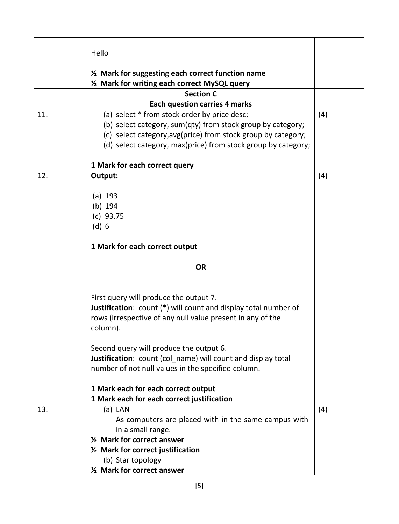|     | Hello                                                                                                                                                                                                                                         |     |
|-----|-----------------------------------------------------------------------------------------------------------------------------------------------------------------------------------------------------------------------------------------------|-----|
|     |                                                                                                                                                                                                                                               |     |
|     | 1/2 Mark for suggesting each correct function name<br>1/2 Mark for writing each correct MySQL query                                                                                                                                           |     |
|     | <b>Section C</b>                                                                                                                                                                                                                              |     |
|     | <b>Each question carries 4 marks</b>                                                                                                                                                                                                          |     |
| 11. | (a) select * from stock order by price desc;<br>(b) select category, sum(qty) from stock group by category;<br>(c) select category, avg(price) from stock group by category;<br>(d) select category, max(price) from stock group by category; | (4) |
|     | 1 Mark for each correct query                                                                                                                                                                                                                 |     |
| 12. | Output:                                                                                                                                                                                                                                       | (4) |
|     | (a) 193<br>$(b)$ 194<br>(c) 93.75<br>(d) 6                                                                                                                                                                                                    |     |
|     | 1 Mark for each correct output                                                                                                                                                                                                                |     |
|     | <b>OR</b>                                                                                                                                                                                                                                     |     |
|     | First query will produce the output 7.<br>Justification: count (*) will count and display total number of<br>rows (irrespective of any null value present in any of the<br>column).                                                           |     |
|     | Second query will produce the output 6.<br>Justification: count (col name) will count and display total<br>number of not null values in the specified column.                                                                                 |     |
|     | 1 Mark each for each correct output<br>1 Mark each for each correct justification                                                                                                                                                             |     |
| 13. | $(a)$ LAN<br>As computers are placed with-in the same campus with-<br>in a small range.<br>1/ <sub>2</sub> Mark for correct answer<br>1/2 Mark for correct justification<br>(b) Star topology<br>1/2 Mark for correct answer                  | (4) |